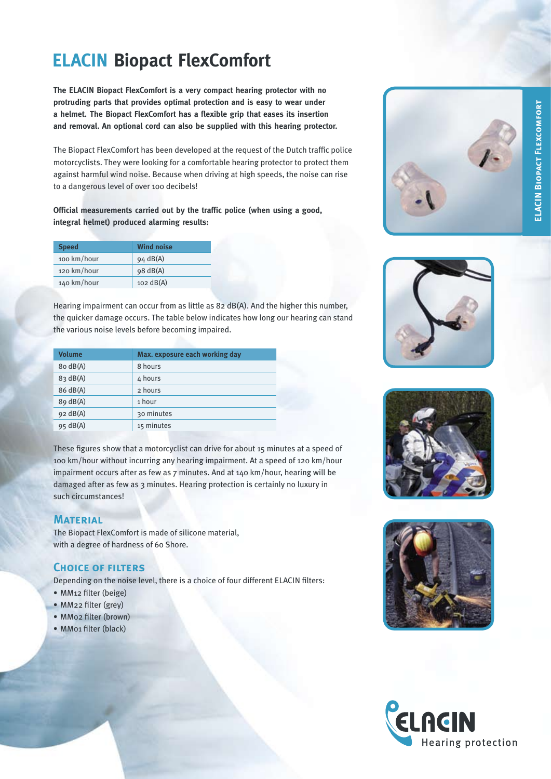# **ELACIN Biopact FlexComfort**

**The ELACIN Biopact FlexComfort is a very compact hearing protector with no protruding parts that provides optimal protection and is easy to wear under a helmet. The Biopact FlexComfort has a flexible grip that eases its insertion and removal. An optional cord can also be supplied with this hearing protector.**

The Biopact FlexComfort has been developed at the request of the Dutch traffic police motorcyclists. They were looking for a comfortable hearing protector to protect them against harmful wind noise. Because when driving at high speeds, the noise can rise to a dangerous level of over 100 decibels!

**Official measurements carried out by the traffic police (when using a good, integral helmet) produced alarming results:**

| <b>Speed</b> | <b>Wind noise</b>   |
|--------------|---------------------|
| 100 km/hour  | $94 \text{ dB(A)}$  |
| 120 km/hour  | 98 dB(A)            |
| 140 km/hour  | $102 \text{ dB(A)}$ |

Hearing impairment can occur from as little as 82 dB(A). And the higher this number, the quicker damage occurs. The table below indicates how long our hearing can stand the various noise levels before becoming impaired.

| <b>Volume</b>      | Max. exposure each working day |
|--------------------|--------------------------------|
| 8o dB(A)           | 8 hours                        |
| 83 dB(A)           | 4 hours                        |
| 86 dB(A)           | 2 hours                        |
| $89 \text{ dB(A)}$ | 1 hour                         |
| $92 \text{ dB(A)}$ | 30 minutes                     |
| $95 \text{ dB(A)}$ | 15 minutes                     |

These figures show that a motorcyclist can drive for about 15 minutes at a speed of 100 km/hour without incurring any hearing impairment. At a speed of 120 km/hour impairment occurs after as few as 7 minutes. And at 140 km/hour, hearing will be damaged after as few as 3 minutes. Hearing protection is certainly no luxury in such circumstances!

### **Material**

The Biopact FlexComfort is made of silicone material, with a degree of hardness of 60 Shore.

### **Choice of filters**

Depending on the noise level, there is a choice of four different ELACIN filters:<br>• MM12 filter (beige)

- 
- MM22 filter (grey)
- MM02 filter (brown)
- MM01 filter (black)